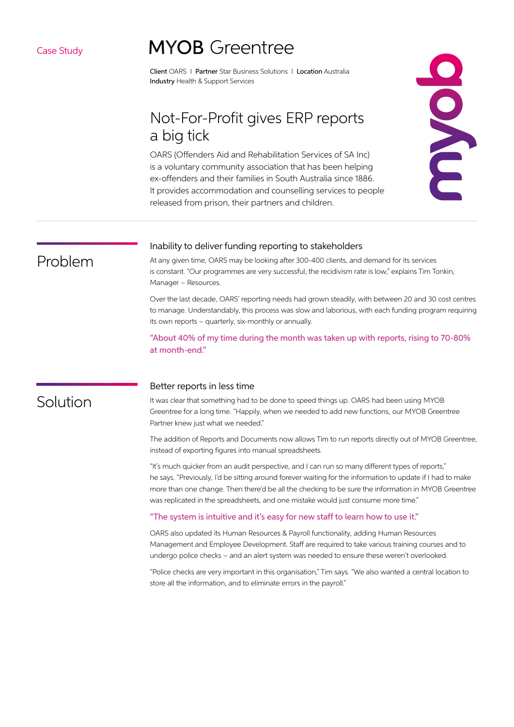### Case Study

# **MYOB** Greentree

Client OARS I Partner Star Business Solutions I Location Australia Industry Health & Support Services

# Not-For-Profit gives ERP reports a big tick

OARS (Offenders Aid and Rehabilitation Services of SA Inc) is a voluntary community association that has been helping ex-offenders and their families in South Australia since 1886. It provides accommodation and counselling services to people released from prison, their partners and children.



# Problem

#### Inability to deliver funding reporting to stakeholders

At any given time, OARS may be looking after 300-400 clients, and demand for its services is constant. "Our programmes are very successful; the recidivism rate is low," explains Tim Tonkin, Manager – Resources.

Over the last decade, OARS' reporting needs had grown steadily, with between 20 and 30 cost centres to manage. Understandably, this process was slow and laborious, with each funding program requiring its own reports – quarterly, six-monthly or annually.

"About 40% of my time during the month was taken up with reports, rising to 70-80% at month-end."

# Solution

#### Better reports in less time

It was clear that something had to be done to speed things up. OARS had been using MYOB Greentree for a long time. "Happily, when we needed to add new functions, our MYOB Greentree Partner knew just what we needed."

The addition of Reports and Documents now allows Tim to run reports directly out of MYOB Greentree, instead of exporting figures into manual spreadsheets.

"It's much quicker from an audit perspective, and I can run so many different types of reports," he says. "Previously, I'd be sitting around forever waiting for the information to update if I had to make more than one change. Then there'd be all the checking to be sure the information in MYOB Greentree was replicated in the spreadsheets, and one mistake would just consume more time."

#### "The system is intuitive and it's easy for new staff to learn how to use it."

OARS also updated its Human Resources & Payroll functionality, adding Human Resources Management and Employee Development. Staff are required to take various training courses and to undergo police checks – and an alert system was needed to ensure these weren't overlooked.

"Police checks are very important in this organisation," Tim says. "We also wanted a central location to store all the information, and to eliminate errors in the payroll."